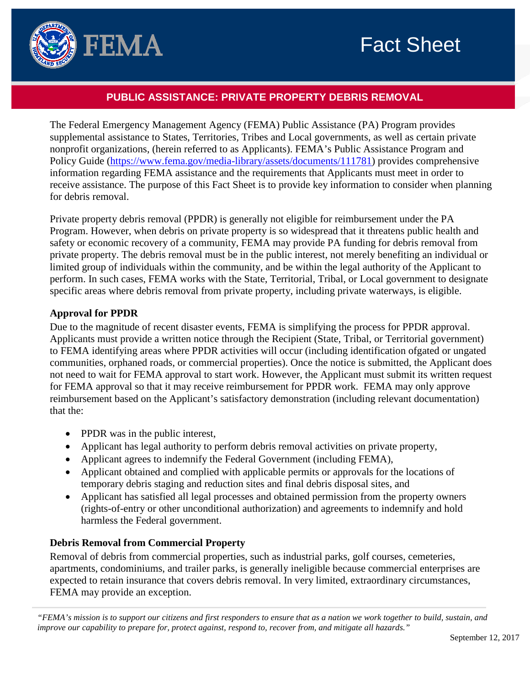

# **PUBLIC ASSISTANCE: PRIVATE PROPERTY DEBRIS REMOVAL**

The Federal Emergency Management Agency (FEMA) Public Assistance (PA) Program provides supplemental assistance to States, Territories, Tribes and Local governments, as well as certain private nonprofit organizations, (herein referred to as Applicants). FEMA's Public Assistance Program and Policy Guide [\(https://www.fema.gov/media-library/assets/documents/111781\)](https://www.fema.gov/media-library/assets/documents/111781) provides comprehensive information regarding FEMA assistance and the requirements that Applicants must meet in order to receive assistance. The purpose of this Fact Sheet is to provide key information to consider when planning for debris removal.

Private property debris removal (PPDR) is generally not eligible for reimbursement under the PA Program. However, when debris on private property is so widespread that it threatens public health and safety or economic recovery of a community, FEMA may provide PA funding for debris removal from private property. The debris removal must be in the public interest, not merely benefiting an individual or limited group of individuals within the community, and be within the legal authority of the Applicant to perform. In such cases, FEMA works with the State, Territorial, Tribal, or Local government to designate specific areas where debris removal from private property, including private waterways, is eligible.

## **Approval for PPDR**

Due to the magnitude of recent disaster events, FEMA is simplifying the process for PPDR approval. Applicants must provide a written notice through the Recipient (State, Tribal, or Territorial government) to FEMA identifying areas where PPDR activities will occur (including identification ofgated or ungated communities, orphaned roads, or commercial properties). Once the notice is submitted, the Applicant does not need to wait for FEMA approval to start work. However, the Applicant must submit its written request for FEMA approval so that it may receive reimbursement for PPDR work. FEMA may only approve reimbursement based on the Applicant's satisfactory demonstration (including relevant documentation) that the:

- PPDR was in the public interest,
- Applicant has legal authority to perform debris removal activities on private property,
- Applicant agrees to indemnify the Federal Government (including FEMA),
- Applicant obtained and complied with applicable permits or approvals for the locations of temporary debris staging and reduction sites and final debris disposal sites, and
- Applicant has satisfied all legal processes and obtained permission from the property owners (rights-of-entry or other unconditional authorization) and agreements to indemnify and hold harmless the Federal government.

# **Debris Removal from Commercial Property**

Removal of debris from commercial properties, such as industrial parks, golf courses, cemeteries, apartments, condominiums, and trailer parks, is generally ineligible because commercial enterprises are expected to retain insurance that covers debris removal. In very limited, extraordinary circumstances, FEMA may provide an exception.

*"FEMA's mission is to support our citizens and first responders to ensure that as a nation we work together to build, sustain, and improve our capability to prepare for, protect against, respond to, recover from, and mitigate all hazards."*